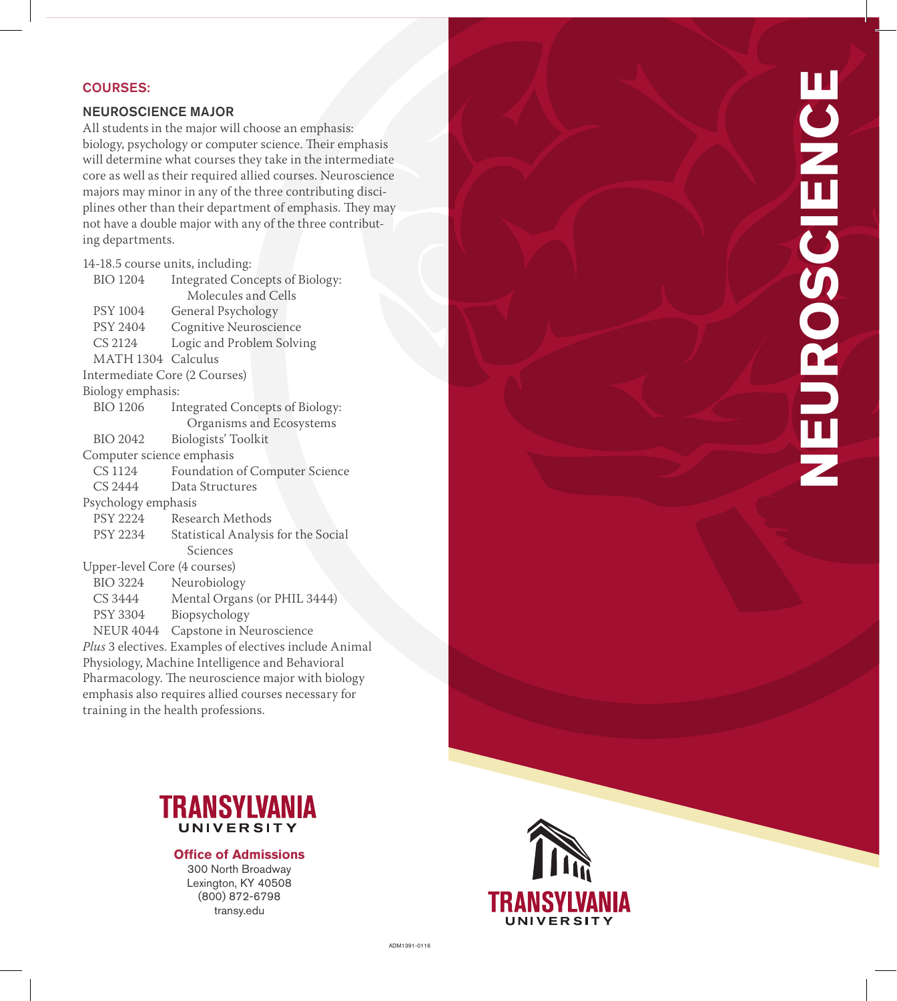# COURSES:

## NEUROSCIENCE MAJOR

All students in the major will choose an emphasis: biology, psychology or computer science. Their emphasis will determine what courses they take in the intermediate core as well as their required allied courses. Neuroscience majors may minor in any of the three contributing disci plines other than their department of emphasis. They may not have a double major with any of the three contribut ing departments.

| 14-18.5 course units, including:                    |                                                        |
|-----------------------------------------------------|--------------------------------------------------------|
| <b>BIO 1204</b>                                     | Integrated Concepts of Biology:                        |
|                                                     | Molecules and Cells                                    |
| PSY 1004                                            | General Psychology                                     |
| PSY 2404                                            | Cognitive Neuroscience                                 |
| CS 2124                                             | Logic and Problem Solving                              |
| MATH 1304 Calculus                                  |                                                        |
| Intermediate Core (2 Courses)                       |                                                        |
| Biology emphasis:                                   |                                                        |
| <b>BIO 1206</b>                                     | Integrated Concepts of Biology:                        |
|                                                     | Organisms and Ecosystems                               |
| <b>BIO 2042</b>                                     | Biologists' Toolkit                                    |
| Computer science emphasis                           |                                                        |
| CS 1124                                             | Foundation of Computer Science                         |
| CS 2444                                             | Data Structures                                        |
| Psychology emphasis                                 |                                                        |
| PSY 2224                                            | Research Methods                                       |
| PSY 2234                                            | Statistical Analysis for the Social                    |
|                                                     | Sciences                                               |
| Upper-level Core (4 courses)                        |                                                        |
| BIO 3224                                            | Neurobiology                                           |
| CS 3444                                             | Mental Organs (or PHIL 3444)                           |
| PSY 3304                                            | Biopsychology                                          |
| NEUR 4044                                           | Capstone in Neuroscience                               |
|                                                     | Plus 3 electives. Examples of electives include Animal |
| Physiology, Machine Intelligence and Behavioral     |                                                        |
| Pharmacology. The neuroscience major with biology   |                                                        |
| emphasis also requires allied courses necessary for |                                                        |
| training in the health professions.                 |                                                        |



**Office of Admissions**  300 North Broadway Lexington, KY 40508 (800) 872-6798 transy.edu